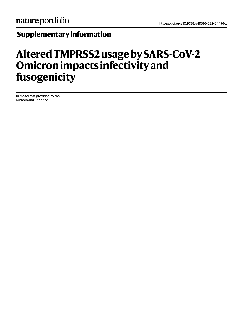## **Supplementary information**

## **Altered TMPRSS2 usage by SARS-CoV-2 Omicron impacts infectivity and fusogenicity**

In the format provided by the authors and unedited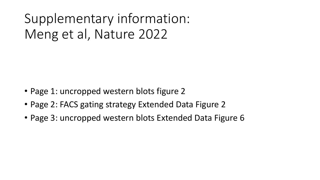Supplementary information: Meng et al, Nature 2022

- Page 1: uncropped western blots figure 2
- Page 2: FACS gating strategy Extended Data Figure 2
- Page 3: uncropped western blots Extended Data Figure 6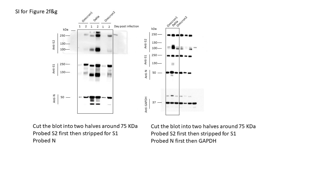

Cut the blot into two halves around 75 KDa Probed S2 first then stripped for S1 Probed N

Cut the blot into two halves around 75 KDa Probed S2 first then stripped for S1 Probed N first then GAPDH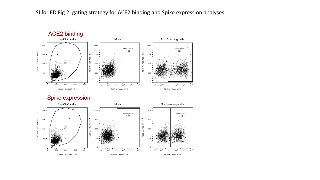SI for ED Fig 2: gating strategy for ACE2 binding and Spike expression analyses



## Spike expression